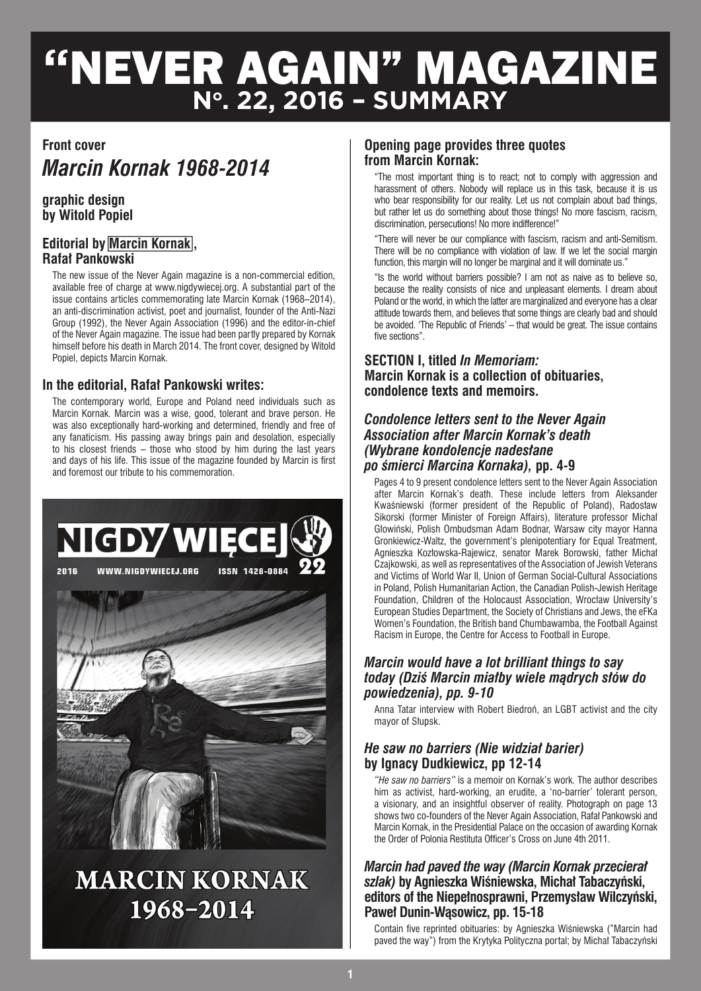# **"**NEVER AGAIN" MAGAZINE **No. 22, 2016 – SUMMARY**

# **Front cover**

# *Marcin Kornak 1968-2014*

#### **graphic design by Witold Popiel**

# **Editorial by Marcin Kornak, Rafał Pankowski**

The new issue of the Never Again magazine is a non-commercial edition, available free of charge at www.nigdywiecej.org. A substantial part of the issue contains articles commemorating late Marcin Kornak (1968–2014), an anti-discrimination activist, poet and journalist, founder of the Anti-Nazi Group (1992), the Never Again Association (1996) and the editor-in-chief of the Never Again magazine. The issue had been partly prepared by Kornak himself before his death in March 2014. The front cover, designed by Witold Popiel, depicts Marcin Kornak.

# **In the editorial, Rafał Pankowski writes:**

The contemporary world, Europe and Poland need individuals such as Marcin Kornak. Marcin was a wise, good, tolerant and brave person. He was also exceptionally hard-working and determined, friendly and free of any fanaticism. His passing away brings pain and desolation, especially to his closest friends – those who stood by him during the last years and days of his life. This issue of the magazine founded by Marcin is first and foremost our tribute to his commemoration.



# **MARCIN KORNAK** 1968-2014

# **Opening page provides three quotes from Marcin Kornak:**

"The most important thing is to react; not to comply with aggression and harassment of others. Nobody will replace us in this task, because it is us who bear responsibility for our reality. Let us not complain about bad things, but rather let us do something about those things! No more fascism, racism, discrimination, persecutions! No more indifference!"

"There will never be our compliance with fascism, racism and anti-Semitism. There will be no compliance with violation of law. If we let the social margin function, this margin will no longer be marginal and it will dominate us."

"Is the world without barriers possible? I am not as naive as to believe so, because the reality consists of nice and unpleasant elements. I dream about Poland or the world, in which the latter are marginalized and everyone has a clear attitude towards them, and believes that some things are clearly bad and should be avoided. 'The Republic of Friends' – that would be great. The issue contains five sections".

# **SECTION I, titled** *In Memoriam:* **Marcin Kornak is a collection of obituaries, condolence texts and memoirs.**

#### *Condolence letters sent to the Never Again Association after Marcin Kornak's death (Wybrane kondolencje nadesłane po śmierci Marcina Kornaka),* **pp. 4-9**

Pages 4 to 9 present condolence letters sent to the Never Again Association after Marcin Kornak's death. These include letters from Aleksander Kwaśniewski (former president of the Republic of Poland), Radosław Sikorski (former Minister of Foreign Affairs), literature professor Michał Głowiński, Polish Ombudsman Adam Bodnar, Warsaw city mayor Hanna Gronkiewicz-Waltz, the government's plenipotentiary for Equal Treatment, Agnieszka Kozłowska-Rajewicz, senator Marek Borowski, father Michał Czajkowski, as well as representatives of the Association of Jewish Veterans and Victims of World War II, Union of German Social-Cultural Associations in Poland, Polish Humanitarian Action, the Canadian Polish-Jewish Heritage Foundation, Children of the Holocaust Association, Wrocław University's European Studies Department, the Society of Christians and Jews, the eFKa Women's Foundation, the British band Chumbawamba, the Football Against Racism in Europe, the Centre for Access to Football in Europe.

#### *Marcin would have a lot brilliant things to say today (Dziś Marcin miałby wiele mądrych słów do powiedzenia), pp. 9-10*

Anna Tatar interview with Robert Biedroń, an LGBT activist and the city mayor of Słupsk.

# *He saw no barriers (Nie widział barier)*  **by Ignacy Dudkiewicz, pp 12-14**

*"He saw no barriers"* is a memoir on Kornak's work. The author describes him as activist, hard-working, an erudite, a 'no-barrier' tolerant person, a visionary, and an insightful observer of reality. Photograph on page 13 shows two co-founders of the Never Again Association, Rafał Pankowski and Marcin Kornak, in the Presidential Palace on the occasion of awarding Kornak the Order of Polonia Restituta Officer's Cross on June 4th 2011.

# *Marcin had paved the way (Marcin Kornak przecierał szlak)* **by Agnieszka Wiśniewska, Michał Tabaczyński, editors of the Niepełnosprawni, Przemysław Wilczyński, Paweł Dunin-Wąsowicz, pp. 15-18**

Contain five reprinted obituaries: by Agnieszka Wiśniewska ("Marcin had paved the way") from the Krytyka Polityczna portal; by Michał Tabaczyński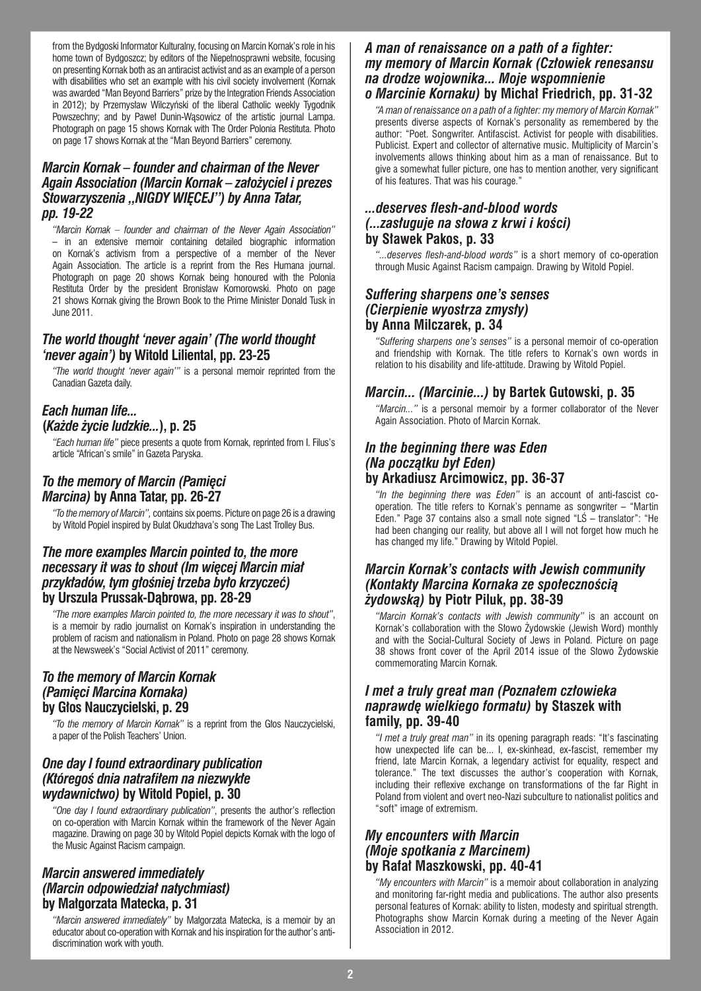from the Bydgoski Informator Kulturalny, focusing on Marcin Kornak's role in his home town of Bydgoszcz; by editors of the Niepełnosprawni website, focusing on presenting Kornak both as an antiracist activist and as an example of a person with disabilities who set an example with his civil society involvement (Kornak was awarded "Man Beyond Barriers" prize by the Integration Friends Association in 2012); by Przemysław Wilczyński of the liberal Catholic weekly Tygodnik Powszechny; and by Paweł Dunin-Wąsowicz of the artistic journal Lampa. Photograph on page 15 shows Kornak with The Order Polonia Restituta. Photo on page 17 shows Kornak at the "Man Beyond Barriers" ceremony.

#### *Marcin Kornak – founder and chairman of the Never Again Association (Marcin Kornak – założyciel i prezes Stowarzyszenia "NIGDY WIĘCEJ") by Anna Tatar, pp. 19-22*

*"Marcin Kornak – founder and chairman of the Never Again Association"* – in an extensive memoir containing detailed biographic information on Kornak's activism from a perspective of a member of the Never Again Association. The article is a reprint from the Res Humana journal. Photograph on page 20 shows Kornak being honoured with the Polonia Restituta Order by the president Bronisław Komorowski. Photo on page 21 shows Kornak giving the Brown Book to the Prime Minister Donald Tusk in June 2011.

### *The world thought 'never again' (The world thought 'never again')* **by Witold Liliental, pp. 23-25**

*"The world thought 'never again'"* is a personal memoir reprinted from the Canadian Gazeta daily.

# *Each human life...*  **(***Każde życie ludzkie...***), p. 25**

*"Each human life"* piece presents a quote from Kornak, reprinted from I. Filus's article "African's smile" in Gazeta Paryska.

# *To the memory of Marcin (Pamięci Marcina)* **by Anna Tatar, pp. 26-27**

*"To the memory of Marcin",* contains six poems. Picture on page 26 is a drawing by Witold Popiel inspired by Bulat Okudzhava's song The Last Trolley Bus.

#### *The more examples Marcin pointed to, the more necessary it was to shout (Im więcej Marcin miał przykładów, tym głośniej trzeba było krzyczeć)*  **by Urszula Prussak-Dąbrowa, pp. 28-29**

*"The more examples Marcin pointed to, the more necessary it was to shout"*, is a memoir by radio journalist on Kornak's inspiration in understanding the problem of racism and nationalism in Poland. Photo on page 28 shows Kornak at the Newsweek's "Social Activist of 2011" ceremony.

#### *To the memory of Marcin Kornak (Pamięci Marcina Kornaka)*  **by Głos Nauczycielski, p. 29**

*"To the memory of Marcin Kornak"* is a reprint from the Głos Nauczycielski, a paper of the Polish Teachers' Union.

#### *One day I found extraordinary publication (Któregoś dnia natrafiłem na niezwykłe wydawnictwo)* **by Witold Popiel, p. 30**

*"One day I found extraordinary publication"*, presents the author's reflection on co-operation with Marcin Kornak within the framework of the Never Again magazine. Drawing on page 30 by Witold Popiel depicts Kornak with the logo of the Music Against Racism campaign.

#### *Marcin answered immediately (Marcin odpowiedział natychmiast)*  **by Małgorzata Matecka, p. 31**

*"Marcin answered immediately"* by Małgorzata Matecka, is a memoir by an educator about co-operation with Kornak and his inspiration for the author's antidiscrimination work with youth.

#### *A man of renaissance on a path of a fighter: my memory of Marcin Kornak (Człowiek renesansu na drodze wojownika... Moje wspomnienie o Marcinie Kornaku)* **by Michał Friedrich, pp. 31-32**

*"A man of renaissance on a path of a fighter: my memory of Marcin Kornak"*  presents diverse aspects of Kornak's personality as remembered by the author: "Poet. Songwriter. Antifascist. Activist for people with disabilities. Publicist. Expert and collector of alternative music. Multiplicity of Marcin's involvements allows thinking about him as a man of renaissance. But to give a somewhat fuller picture, one has to mention another, very significant of his features. That was his courage."

#### *...deserves flesh-and-blood words (...zasługuje na słowa z krwi i kości)* **by Sławek Pakos, p. 33**

*"...deserves flesh-and-blood words"* is a short memory of co-operation through Music Against Racism campaign. Drawing by Witold Popiel.

# *Suffering sharpens one's senses (Cierpienie wyostrza zmysły)* **by Anna Milczarek, p. 34**

*"Suffering sharpens one's senses"* is a personal memoir of co-operation and friendship with Kornak. The title refers to Kornak's own words in relation to his disability and life-attitude. Drawing by Witold Popiel.

### *Marcin... (Marcinie...)* **by Bartek Gutowski, p. 35**

*"Marcin..."* is a personal memoir by a former collaborator of the Never Again Association. Photo of Marcin Kornak.

#### *In the beginning there was Eden (Na początku był Eden)* **by Arkadiusz Arcimowicz, pp. 36-37**

*"In the beginning there was Eden"* is an account of anti-fascist cooperation. The title refers to Kornak's penname as songwriter – "Martin Eden." Page 37 contains also a small note signed "LŚ – translator": "He had been changing our reality, but above all I will not forget how much he has changed my life." Drawing by Witold Popiel.

#### *Marcin Kornak's contacts with Jewish community (Kontakty Marcina Kornaka ze społecznością żydowską)* **by Piotr Piluk, pp. 38-39**

*"Marcin Kornak's contacts with Jewish community"* is an account on Kornak's collaboration with the Słowo Żydowskie (Jewish Word) monthly and with the Social-Cultural Society of Jews in Poland. Picture on page 38 shows front cover of the April 2014 issue of the Słowo Żydowskie commemorating Marcin Kornak.

#### *I met a truly great man (Poznałem człowieka naprawdę wielkiego formatu)* **by Staszek with family, pp. 39-40**

*"I met a truly great man"* in its opening paragraph reads: "It's fascinating how unexpected life can be... I, ex-skinhead, ex-fascist, remember my friend, late Marcin Kornak, a legendary activist for equality, respect and tolerance." The text discusses the author's cooperation with Kornak, including their reflexive exchange on transformations of the far Right in Poland from violent and overt neo-Nazi subculture to nationalist politics and "soft" image of extremism.

# *My encounters with Marcin (Moje spotkania z Marcinem)*  **by Rafał Maszkowski, pp. 40-41**

*"My encounters with Marcin"* is a memoir about collaboration in analyzing and monitoring far-right media and publications. The author also presents personal features of Kornak: ability to listen, modesty and spiritual strength. Photographs show Marcin Kornak during a meeting of the Never Again Association in 2012.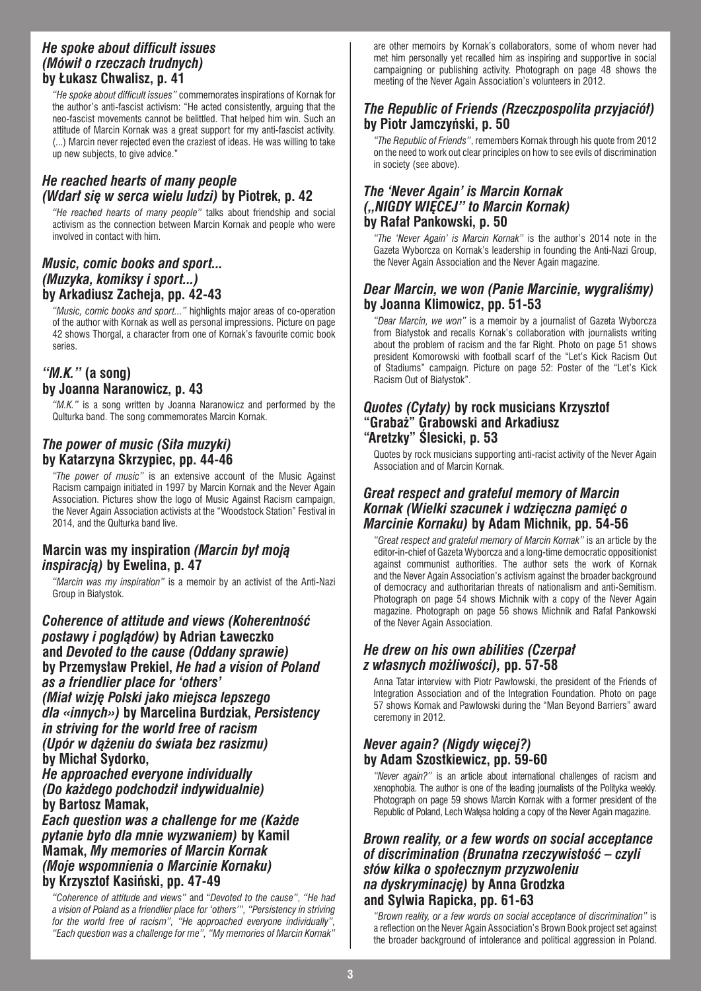#### *He spoke about difficult issues (Mówił o rzeczach trudnych)*  **by Łukasz Chwalisz, p. 41**

*"He spoke about difficult issues"* commemorates inspirations of Kornak for the author's anti-fascist activism: "He acted consistently, arguing that the neo-fascist movements cannot be belittled. That helped him win. Such an attitude of Marcin Kornak was a great support for my anti-fascist activity. (...) Marcin never rejected even the craziest of ideas. He was willing to take up new subjects, to give advice."

#### *He reached hearts of many people (Wdarł się w serca wielu ludzi)* **by Piotrek, p. 42**

*"He reached hearts of many people"* talks about friendship and social activism as the connection between Marcin Kornak and people who were involved in contact with him.

#### *Music, comic books and sport... (Muzyka, komiksy i sport...)*  **by Arkadiusz Zacheja, pp. 42-43**

*"Music, comic books and sport..."* highlights major areas of co-operation of the author with Kornak as well as personal impressions. Picture on page 42 shows Thorgal, a character from one of Kornak's favourite comic book series.

# *"M.K."* **(a song) by Joanna Naranowicz, p. 43**

*"M.K."* is a song written by Joanna Naranowicz and performed by the Qulturka band. The song commemorates Marcin Kornak.

# *The power of music (Siła muzyki)*  **by Katarzyna Skrzypiec, pp. 44-46**

*"The power of music"* is an extensive account of the Music Against Racism campaign initiated in 1997 by Marcin Kornak and the Never Again Association. Pictures show the logo of Music Against Racism campaign. the Never Again Association activists at the "Woodstock Station" Festival in 2014, and the Qulturka band live.

# **Marcin was my inspiration** *(Marcin był moją inspiracją)* **by Ewelina, p. 47**

*"Marcin was my inspiration"* is a memoir by an activist of the Anti-Nazi Group in Białystok.

*Coherence of attitude and views (Koherentność postawy i poglądów)* **by Adrian Ławeczko and** *Devoted to the cause (Oddany sprawie)* **by Przemysław Prekiel,** *He had a vision of Poland as a friendlier place for 'others' (Miał wizję Polski jako miejsca lepszego dla «innych»)* **by Marcelina Burdziak,** *Persistency in striving for the world free of racism (Upór w dążeniu do świata bez rasizmu)* **by Michał Sydorko,**  *He approached everyone individually (Do każdego podchodził indywidualnie)*  **by Bartosz Mamak,**  *Each question was a challenge for me (Każde pytanie było dla mnie wyzwaniem)* **by Kamil** 

**Mamak,** *My memories of Marcin Kornak (Moje wspomnienia o Marcinie Kornaku)*  **by Krzysztof Kasiński, pp. 47-49**

*"Coherence of attitude and views"* and "*Devoted to the cause"*, *"He had a vision of Poland as a friendlier place for 'others'", "Persistency in striving for the world free of racism", "He approached everyone individually", "Each question was a challenge for me", "My memories of Marcin Kornak"*

are other memoirs by Kornak's collaborators, some of whom never had met him personally yet recalled him as inspiring and supportive in social campaigning or publishing activity. Photograph on page 48 shows the meeting of the Never Again Association's volunteers in 2012.

# *The Republic of Friends (Rzeczpospolita przyjaciół)*  **by Piotr Jamczyński, p. 50**

*"The Republic of Friends"*, remembers Kornak through his quote from 2012 on the need to work out clear principles on how to see evils of discrimination in society (see above).

# *The 'Never Again' is Marcin Kornak ("NIGDY WIĘCEJ" to Marcin Kornak)*  **by Rafał Pankowski, p. 50**

*"The 'Never Again' is Marcin Kornak"* is the author's 2014 note in the Gazeta Wyborcza on Kornak's leadership in founding the Anti-Nazi Group, the Never Again Association and the Never Again magazine.

# *Dear Marcin, we won (Panie Marcinie, wygraliśmy)* **by Joanna Klimowicz, pp. 51-53**

*"Dear Marcin, we won"* is a memoir by a journalist of Gazeta Wyborcza from Białystok and recalls Kornak's collaboration with journalists writing about the problem of racism and the far Right. Photo on page 51 shows president Komorowski with football scarf of the "Let's Kick Racism Out of Stadiums" campaign. Picture on page 52: Poster of the "Let's Kick Racism Out of Białystok".

#### *Quotes (Cytaty)* **by rock musicians Krzysztof "Grabaż" Grabowski and Arkadiusz "Aretzky" Ślesicki, p. 53**

Quotes by rock musicians supporting anti-racist activity of the Never Again Association and of Marcin Kornak.

#### *Great respect and grateful memory of Marcin Kornak (Wielki szacunek i wdzięczna pamięć o Marcinie Kornaku)* **by Adam Michnik, pp. 54-56**

*"Great respect and grateful memory of Marcin Kornak"* is an article by the editor-in-chief of Gazeta Wyborcza and a long-time democratic oppositionist against communist authorities. The author sets the work of Kornak and the Never Again Association's activism against the broader background of democracy and authoritarian threats of nationalism and anti-Semitism. Photograph on page 54 shows Michnik with a copy of the Never Again magazine. Photograph on page 56 shows Michnik and Rafał Pankowski of the Never Again Association.

# *He drew on his own abilities (Czerpał z własnych możliwości),* **pp. 57-58**

Anna Tatar interview with Piotr Pawłowski, the president of the Friends of Integration Association and of the Integration Foundation. Photo on page 57 shows Kornak and Pawłowski during the "Man Beyond Barriers" award ceremony in 2012.

# *Never again? (Nigdy więcej?)*  **by Adam Szostkiewicz, pp. 59-60**

*"Never again?"* is an article about international challenges of racism and xenophobia. The author is one of the leading journalists of the Polityka weekly. Photograph on page 59 shows Marcin Kornak with a former president of the Republic of Poland, Lech Wałęsa holding a copy of the Never Again magazine.

#### *Brown reality, or a few words on social acceptance of discrimination (Brunatna rzeczywistość – czyli słów kilka o społecznym przyzwoleniu na dyskryminację)* **by Anna Grodzka and Sylwia Rapicka, pp. 61-63**

*"Brown reality, or a few words on social acceptance of discrimination"* is a reflection on the Never Again Association's Brown Book project set against the broader background of intolerance and political aggression in Poland.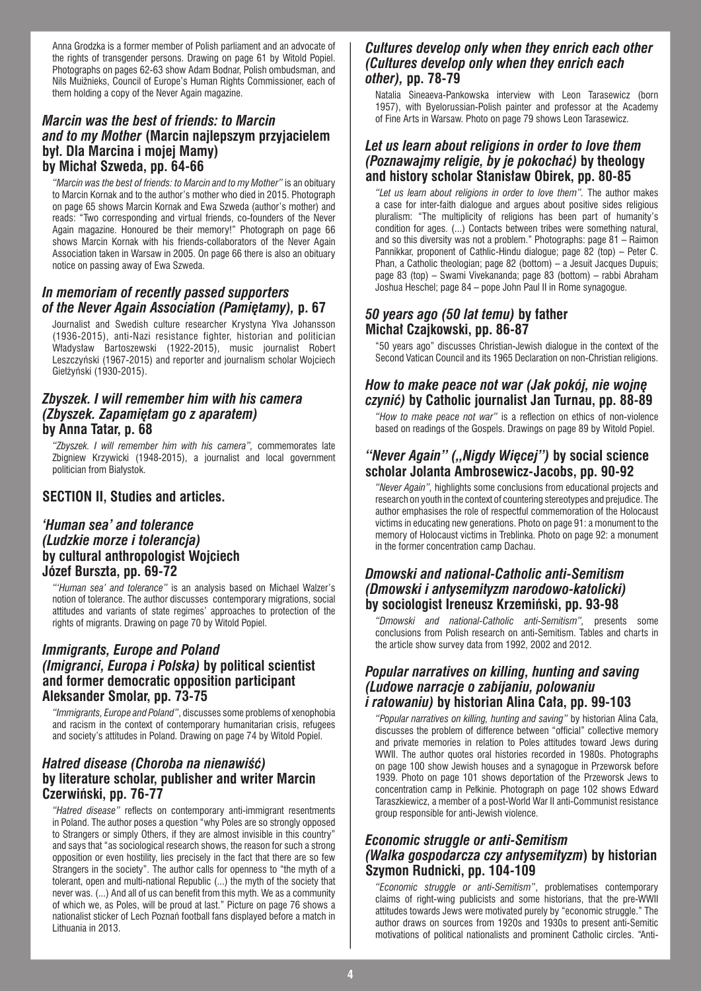Anna Grodzka is a former member of Polish parliament and an advocate of the rights of transgender persons. Drawing on page 61 by Witold Popiel. Photographs on pages 62-63 show Adam Bodnar, Polish ombudsman, and Nils Muižnieks, Council of Europe's Human Rights Commissioner, each of them holding a copy of the Never Again magazine.

#### *Marcin was the best of friends: to Marcin and to my Mother* **(Marcin najlepszym przyjacielem był. Dla Marcina i mojej Mamy) by Michał Szweda, pp. 64-66**

*"Marcin was the best of friends: to Marcin and to my Mother"* is an obituary to Marcin Kornak and to the author's mother who died in 2015. Photograph on page 65 shows Marcin Kornak and Ewa Szweda (author's mother) and reads: "Two corresponding and virtual friends, co-founders of the Never Again magazine. Honoured be their memory!" Photograph on page 66 shows Marcin Kornak with his friends-collaborators of the Never Again Association taken in Warsaw in 2005. On page 66 there is also an obituary notice on passing away of Ewa Szweda.

# *In memoriam of recently passed supporters of the Never Again Association (Pamiętamy),* **p. 67**

Journalist and Swedish culture researcher Krystyna Ylva Johansson (1936-2015), anti-Nazi resistance fighter, historian and politician Władysław Bartoszewski (1922-2015), music journalist Robert Leszczyński (1967-2015) and reporter and journalism scholar Wojciech Giełżyński (1930-2015).

#### *Zbyszek. I will remember him with his camera (Zbyszek. Zapamiętam go z aparatem)* **by Anna Tatar, p. 68**

*"Zbyszek. I will remember him with his camera",* commemorates late Zbigniew Krzywicki (1948-2015), a journalist and local government politician from Białystok.

#### **SECTION II, Studies and articles.**

#### *'Human sea' and tolerance (Ludzkie morze i tolerancja)* **by cultural anthropologist Wojciech Józef Burszta, pp. 69-72**

*"'Human sea' and tolerance"* is an analysis based on Michael Walzer's notion of tolerance. The author discusses contemporary migrations, social attitudes and variants of state regimes' approaches to protection of the rights of migrants. Drawing on page 70 by Witold Popiel.

### *Immigrants, Europe and Poland (Imigranci, Europa i Polska)* **by political scientist and former democratic opposition participant Aleksander Smolar, pp. 73-75**

*"Immigrants, Europe and Poland"*, discusses some problems of xenophobia and racism in the context of contemporary humanitarian crisis, refugees and society's attitudes in Poland. Drawing on page 74 by Witold Popiel.

# *Hatred disease (Choroba na nienawiść)* **by literature scholar, publisher and writer Marcin Czerwiński, pp. 76-77**

*"Hatred disease"* reflects on contemporary anti-immigrant resentments in Poland. The author poses a question "why Poles are so strongly opposed to Strangers or simply Others, if they are almost invisible in this country" and says that "as sociological research shows, the reason for such a strong opposition or even hostility, lies precisely in the fact that there are so few Strangers in the society". The author calls for openness to "the myth of a tolerant, open and multi-national Republic (...) the myth of the society that never was. (...) And all of us can benefit from this myth. We as a community of which we, as Poles, will be proud at last." Picture on page 76 shows a nationalist sticker of Lech Poznań football fans displayed before a match in Lithuania in 2013.

# *Cultures develop only when they enrich each other (Cultures develop only when they enrich each other),* **pp. 78-79**

Natalia Sineaeva-Pankowska interview with Leon Tarasewicz (born 1957), with Byelorussian-Polish painter and professor at the Academy of Fine Arts in Warsaw. Photo on page 79 shows Leon Tarasewicz.

### *Let us learn about religions in order to love them (Poznawajmy religie, by je pokochać)* **by theology and history scholar Stanisław Obirek, pp. 80-85**

*"Let us learn about religions in order to love them".* The author makes a case for inter-faith dialogue and argues about positive sides religious pluralism: "The multiplicity of religions has been part of humanity's condition for ages. (...) Contacts between tribes were something natural, and so this diversity was not a problem." Photographs: page 81 – Raimon Pannikkar, proponent of Cathlic-Hindu dialogue; page 82 (top) – Peter C. Phan, a Catholic theologian; page 82 (bottom) – a Jesuit Jacques Dupuis; page 83 (top) – Swami Vivekananda; page 83 (bottom) – rabbi Abraham Joshua Heschel; page 84 – pope John Paul II in Rome synagogue.

# *50 years ago (50 lat temu)* **by father Michał Czajkowski, pp. 86-87**

"50 years ago" discusses Christian-Jewish dialogue in the context of the Second Vatican Council and its 1965 Declaration on non-Christian religions.

# *How to make peace not war (Jak pokój, nie wojnę czynić)* **by Catholic journalist Jan Turnau, pp. 88-89**

*"How to make peace not war"* is a reflection on ethics of non-violence based on readings of the Gospels. Drawings on page 89 by Witold Popiel.

#### "Never Again" ("Nigdy Więcej") by social science **scholar Jolanta Ambrosewicz-Jacobs, pp. 90-92**

*"Never Again",* highlights some conclusions from educational projects and research on youth in the context of countering stereotypes and prejudice. The author emphasises the role of respectful commemoration of the Holocaust victims in educating new generations. Photo on page 91: a monument to the memory of Holocaust victims in Treblinka. Photo on page 92: a monument in the former concentration camp Dachau.

#### *Dmowski and national-Catholic anti-Semitism (Dmowski i antysemityzm narodowo-katolicki)* **by sociologist Ireneusz Krzemiński, pp. 93-98**

*"Dmowski and national-Catholic anti-Semitism",* presents some conclusions from Polish research on anti-Semitism. Tables and charts in the article show survey data from 1992, 2002 and 2012.

#### *Popular narratives on killing, hunting and saving (Ludowe narracje o zabijaniu, polowaniu i ratowaniu)* **by historian Alina Cała, pp. 99-103**

*"Popular narratives on killing, hunting and saving"* by historian Alina Cała, discusses the problem of difference between "official" collective memory and private memories in relation to Poles attitudes toward Jews during WWII. The author quotes oral histories recorded in 1980s. Photographs on page 100 show Jewish houses and a synagogue in Przeworsk before 1939. Photo on page 101 shows deportation of the Przeworsk Jews to concentration camp in Pełkinie. Photograph on page 102 shows Edward Taraszkiewicz, a member of a post-World War II anti-Communist resistance group responsible for anti-Jewish violence.

#### *Economic struggle or anti-Semitism (Walka gospodarcza czy antysemityzm***) by historian Szymon Rudnicki, pp. 104-109**

*"Economic struggle or anti-Semitism"*, problematises contemporary claims of right-wing publicists and some historians, that the pre-WWII attitudes towards Jews were motivated purely by "economic struggle." The author draws on sources from 1920s and 1930s to present anti-Semitic motivations of political nationalists and prominent Catholic circles. "Anti-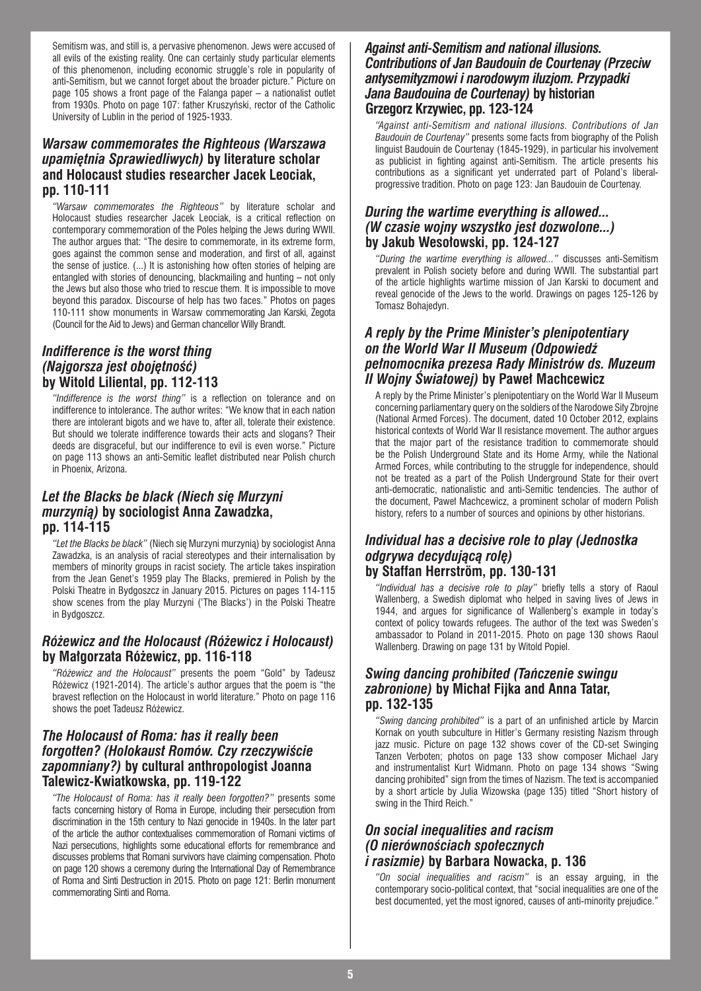Semitism was, and still is, a pervasive phenomenon. Jews were accused of all evils of the existing reality. One can certainly study particular elements of this phenomenon, including economic struggle's role in popularity of anti-Semitism, but we cannot forget about the broader picture." Picture on page 105 shows a front page of the Falanga paper – a nationalist outlet from 1930s. Photo on page 107: father Kruszyński, rector of the Catholic University of Lublin in the period of 1925-1933.

#### *Warsaw commemorates the Righteous (Warszawa upamiętnia Sprawiedliwych)* **by literature scholar and Holocaust studies researcher Jacek Leociak, pp. 110-111**

*"Warsaw commemorates the Righteous"* by literature scholar and Holocaust studies researcher Jacek Leociak, is a critical reflection on contemporary commemoration of the Poles helping the Jews during WWII. The author argues that: "The desire to commemorate, in its extreme form, goes against the common sense and moderation, and first of all, against the sense of justice. (...) It is astonishing how often stories of helping are entangled with stories of denouncing, blackmailing and hunting – not only the Jews but also those who tried to rescue them. It is impossible to move beyond this paradox. Discourse of help has two faces." Photos on pages 110-111 show monuments in Warsaw commemorating Jan Karski, Żegota (Council for the Aid to Jews) and German chancellor Willy Brandt.

#### *Indifference is the worst thing (Najgorsza jest obojętność)* **by Witold Liliental, pp. 112-113**

*"Indifference is the worst thing"* is a reflection on tolerance and on indifference to intolerance. The author writes: "We know that in each nation there are intolerant bigots and we have to, after all, tolerate their existence. But should we tolerate indifference towards their acts and slogans? Their deeds are disgraceful, but our indifference to evil is even worse." Picture on page 113 shows an anti-Semitic leaflet distributed near Polish church in Phoenix, Arizona.

# *Let the Blacks be black (Niech się Murzyni murzynią)* **by sociologist Anna Zawadzka, pp. 114-115**

*"Let the Blacks be black"* (Niech się Murzyni murzynią) by sociologist Anna Zawadzka, is an analysis of racial stereotypes and their internalisation by members of minority groups in racist society. The article takes inspiration from the Jean Genet's 1959 play The Blacks, premiered in Polish by the Polski Theatre in Bydgoszcz in January 2015. Pictures on pages 114-115 show scenes from the play Murzyni ('The Blacks') in the Polski Theatre in Bydgoszcz.

### *Różewicz and the Holocaust (Różewicz i Holocaust)* **by Małgorzata Różewicz, pp. 116-118**

*"Różewicz and the Holocaust"* presents the poem "Gold" by Tadeusz Różewicz (1921-2014). The article's author argues that the poem is "the bravest reflection on the Holocaust in world literature." Photo on page 116 shows the poet Tadeusz Różewicz.

#### *The Holocaust of Roma: has it really been forgotten? (Holokaust Romów. Czy rzeczywiście zapomniany?)* **by cultural anthropologist Joanna Talewicz-Kwiatkowska, pp. 119-122**

*"The Holocaust of Roma: has it really been forgotten?"* presents some facts concerning history of Roma in Europe, including their persecution from discrimination in the 15th century to Nazi genocide in 1940s. In the later part of the article the author contextualises commemoration of Romani victims of Nazi persecutions, highlights some educational efforts for remembrance and discusses problems that Romani survivors have claiming compensation. Photo on page 120 shows a ceremony during the International Day of Remembrance of Roma and Sinti Destruction in 2015. Photo on page 121: Berlin monument commemorating Sinti and Roma.

#### *Against anti-Semitism and national illusions. Contributions of Jan Baudouin de Courtenay (Przeciw antysemityzmowi i narodowym iluzjom. Przypadki Jana Baudouina de Courtenay)* **by historian Grzegorz Krzywiec, pp. 123-124**

*"Against anti-Semitism and national illusions. Contributions of Jan Baudouin de Courtenay"* presents some facts from biography of the Polish linguist Baudouin de Courtenay (1845-1929), in particular his involvement as publicist in fighting against anti-Semitism. The article presents his contributions as a significant yet underrated part of Poland's liberalprogressive tradition. Photo on page 123: Jan Baudouin de Courtenay.

#### *During the wartime everything is allowed... (W czasie wojny wszystko jest dozwolone...)*  **by Jakub Wesołowski, pp. 124-127**

*"During the wartime everything is allowed..."* discusses anti-Semitism prevalent in Polish society before and during WWII. The substantial part of the article highlights wartime mission of Jan Karski to document and reveal genocide of the Jews to the world. Drawings on pages 125-126 by Tomasz Bohajedyn.

#### *A reply by the Prime Minister's plenipotentiary on the World War II Museum (Odpowiedź pełnomocnika prezesa Rady Ministrów ds. Muzeum II Wojny Światowej)* **by Paweł Machcewicz**

A reply by the Prime Minister's plenipotentiary on the World War II Museum concerning parliamentary query on the soldiers of the Narodowe Siły Zbrojne (National Armed Forces). The document, dated 10 October 2012, explains historical contexts of World War II resistance movement. The author argues that the major part of the resistance tradition to commemorate should be the Polish Underground State and its Home Army, while the National Armed Forces, while contributing to the struggle for independence, should not be treated as a part of the Polish Underground State for their overt anti-democratic, nationalistic and anti-Semitic tendencies. The author of the document, Paweł Machcewicz, a prominent scholar of modern Polish history, refers to a number of sources and opinions by other historians.

#### *Individual has a decisive role to play (Jednostka odgrywa decydującą rolę)*  **by Staffan Herrström, pp. 130-131**

*"Individual has a decisive role to play"* briefly tells a story of Raoul Wallenberg, a Swedish diplomat who helped in saving lives of Jews in 1944, and argues for significance of Wallenberg's example in today's context of policy towards refugees. The author of the text was Sweden's ambassador to Poland in 2011-2015. Photo on page 130 shows Raoul Wallenberg. Drawing on page 131 by Witold Popiel.

#### *Swing dancing prohibited (Tańczenie swingu zabronione)* **by Michał Fijka and Anna Tatar, pp. 132-135**

*"Swing dancing prohibited"* is a part of an unfinished article by Marcin Kornak on youth subculture in Hitler's Germany resisting Nazism through jazz music. Picture on page 132 shows cover of the CD-set Swinging Tanzen Verboten; photos on page 133 show composer Michael Jary and instrumentalist Kurt Widmann. Photo on page 134 shows "Swing dancing prohibited" sign from the times of Nazism. The text is accompanied by a short article by Julia Wizowska (page 135) titled "Short history of swing in the Third Reich."

#### *On social inequalities and racism (O nierównościach społecznych i rasizmie)* **by Barbara Nowacka, p. 136**

*"On social inequalities and racism"* is an essay arguing, in the contemporary socio-political context, that "social inequalities are one of the best documented, yet the most ignored, causes of anti-minority prejudice."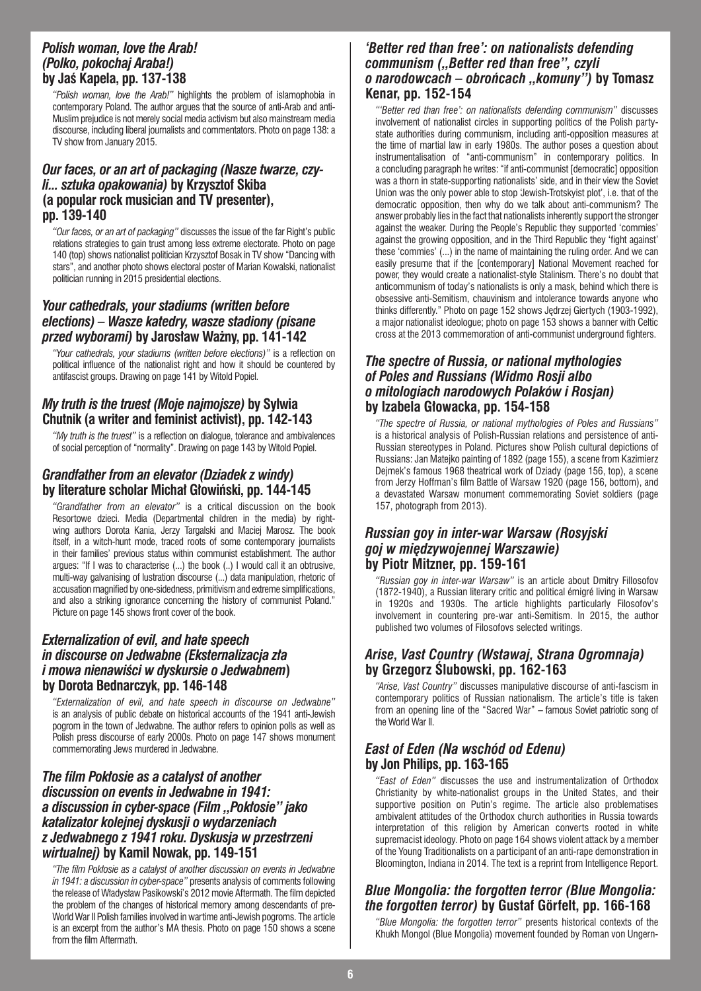#### *Polish woman, love the Arab! (Polko, pokochaj Araba!)* **by Jaś Kapela, pp. 137-138**

*"Polish woman, love the Arab!"* highlights the problem of islamophobia in contemporary Poland. The author argues that the source of anti-Arab and anti-Muslim prejudice is not merely social media activism but also mainstream media discourse, including liberal journalists and commentators. Photo on page 138: a TV show from January 2015.

#### *Our faces, or an art of packaging (Nasze twarze, czyli... sztuka opakowania)* **by Krzysztof Skiba (a popular rock musician and TV presenter), pp. 139-140**

*"Our faces, or an art of packaging"* discusses the issue of the far Right's public relations strategies to gain trust among less extreme electorate. Photo on page 140 (top) shows nationalist politician Krzysztof Bosak in TV show "Dancing with stars", and another photo shows electoral poster of Marian Kowalski, nationalist politician running in 2015 presidential elections.

#### *Your cathedrals, your stadiums (written before elections) – Wasze katedry, wasze stadiony (pisane przed wyborami)* **by Jarosław Ważny, pp. 141-142**

*"Your cathedrals, your stadiums (written before elections)"* is a reflection on political influence of the nationalist right and how it should be countered by antifascist groups. Drawing on page 141 by Witold Popiel.

# *My truth is the truest (Moje najmojsze)* **by Sylwia Chutnik (a writer and feminist activist), pp. 142-143**

*"My truth is the truest"* is a reflection on dialogue, tolerance and ambivalences of social perception of "normality". Drawing on page 143 by Witold Popiel.

# *Grandfather from an elevator (Dziadek z windy)*  **by literature scholar Michał Głowiński, pp. 144-145**

*"Grandfather from an elevator"* is a critical discussion on the book Resortowe dzieci. Media (Departmental children in the media) by rightwing authors Dorota Kania, Jerzy Targalski and Maciej Marosz. The book itself, in a witch-hunt mode, traced roots of some contemporary journalists in their families' previous status within communist establishment. The author argues: "If I was to characterise (...) the book (..) I would call it an obtrusive, multi-way galvanising of lustration discourse (...) data manipulation, rhetoric of accusation magnified by one-sidedness, primitivism and extreme simplifications, and also a striking ignorance concerning the history of communist Poland." Picture on page 145 shows front cover of the book.

#### *Externalization of evil, and hate speech in discourse on Jedwabne (Eksternalizacja zła i mowa nienawiści w dyskursie o Jedwabnem***) by Dorota Bednarczyk, pp. 146-148**

*"Externalization of evil, and hate speech in discourse on Jedwabne"*  is an analysis of public debate on historical accounts of the 1941 anti-Jewish pogrom in the town of Jedwabne. The author refers to opinion polls as well as Polish press discourse of early 2000s. Photo on page 147 shows monument commemorating Jews murdered in Jedwabne.

#### *The film Pokłosie as a catalyst of another discussion on events in Jedwabne in 1941: a discussion in cyber-space (Film "Pokłosie" jako katalizator kolejnej dyskusji o wydarzeniach z Jedwabnego z 1941 roku. Dyskusja w przestrzeni wirtualnej)* **by Kamil Nowak, pp. 149-151**

*"The film Pokłosie as a catalyst of another discussion on events in Jedwabne in 1941: a discussion in cyber-space"* presents analysis of comments following the release of Władysław Pasikowski's 2012 movie Aftermath. The film depicted the problem of the changes of historical memory among descendants of pre-World War II Polish families involved in wartime anti-Jewish pogroms. The article is an excerpt from the author's MA thesis. Photo on page 150 shows a scene from the film Aftermath.

#### *'Better red than free': on nationalists defending communism ("Better red than free", czyli o narodowcach – obrońcach "komuny")* **by Tomasz Kenar, pp. 152-154**

*"'Better red than free': on nationalists defending communism"* discusses involvement of nationalist circles in supporting politics of the Polish partystate authorities during communism, including anti-opposition measures at the time of martial law in early 1980s. The author poses a question about instrumentalisation of "anti-communism" in contemporary politics. In a concluding paragraph he writes: "if anti-communist [democratic] opposition was a thorn in state-supporting nationalists' side, and in their view the Soviet Union was the only power able to stop 'Jewish-Trotskyist plot', i.e. that of the democratic opposition, then why do we talk about anti-communism? The answer probably lies in the fact that nationalists inherently support the stronger against the weaker. During the People's Republic they supported 'commies' against the growing opposition, and in the Third Republic they 'fight against' these 'commies' (...) in the name of maintaining the ruling order. And we can easily presume that if the [contemporary] National Movement reached for power, they would create a nationalist-style Stalinism. There's no doubt that anticommunism of today's nationalists is only a mask, behind which there is obsessive anti-Semitism, chauvinism and intolerance towards anyone who thinks differently." Photo on page 152 shows Jędrzej Giertych (1903-1992), a major nationalist ideologue; photo on page 153 shows a banner with Celtic cross at the 2013 commemoration of anti-communist underground fighters.

#### *The spectre of Russia, or national mythologies of Poles and Russians (Widmo Rosji albo o mitologiach narodowych Polaków i Rosjan)*  **by Izabela Głowacka, pp. 154-158**

*"The spectre of Russia, or national mythologies of Poles and Russians"* is a historical analysis of Polish-Russian relations and persistence of anti-Russian stereotypes in Poland. Pictures show Polish cultural depictions of Russians: Jan Matejko painting of 1892 (page 155), a scene from Kazimierz Dejmek's famous 1968 theatrical work of Dziady (page 156, top), a scene from Jerzy Hoffman's film Battle of Warsaw 1920 (page 156, bottom), and a devastated Warsaw monument commemorating Soviet soldiers (page 157, photograph from 2013).

#### *Russian goy in inter-war Warsaw (Rosyjski goj w międzywojennej Warszawie)*  **by Piotr Mitzner, pp. 159-161**

*"Russian goy in inter-war Warsaw"* is an article about Dmitry Fillosofov (1872-1940), a Russian literary critic and political émigré living in Warsaw in 1920s and 1930s. The article highlights particularly Filosofov's involvement in countering pre-war anti-Semitism. In 2015, the author published two volumes of Filosofovs selected writings.

# *Arise, Vast Country (Wstawaj, Strana Ogromnaja)*  **by Grzegorz Ślubowski, pp. 162-163**

*"Arise, Vast Country"* discusses manipulative discourse of anti-fascism in contemporary politics of Russian nationalism. The article's title is taken from an opening line of the "Sacred War" – famous Soviet patriotic song of the World War II.

# *East of Eden (Na wschód od Edenu)*  **by Jon Philips, pp. 163-165**

*"East of Eden"* discusses the use and instrumentalization of Orthodox Christianity by white-nationalist groups in the United States, and their supportive position on Putin's regime. The article also problematises ambivalent attitudes of the Orthodox church authorities in Russia towards interpretation of this religion by American converts rooted in white supremacist ideology. Photo on page 164 shows violent attack by a member of the Young Traditionalists on a participant of an anti-rape demonstration in Bloomington, Indiana in 2014. The text is a reprint from Intelligence Report.

# *Blue Mongolia: the forgotten terror (Blue Mongolia: the forgotten terror)* **by Gustaf Görfelt, pp. 166-168**

*"Blue Mongolia: the forgotten terror"* presents historical contexts of the Khukh Mongol (Blue Mongolia) movement founded by Roman von Ungern-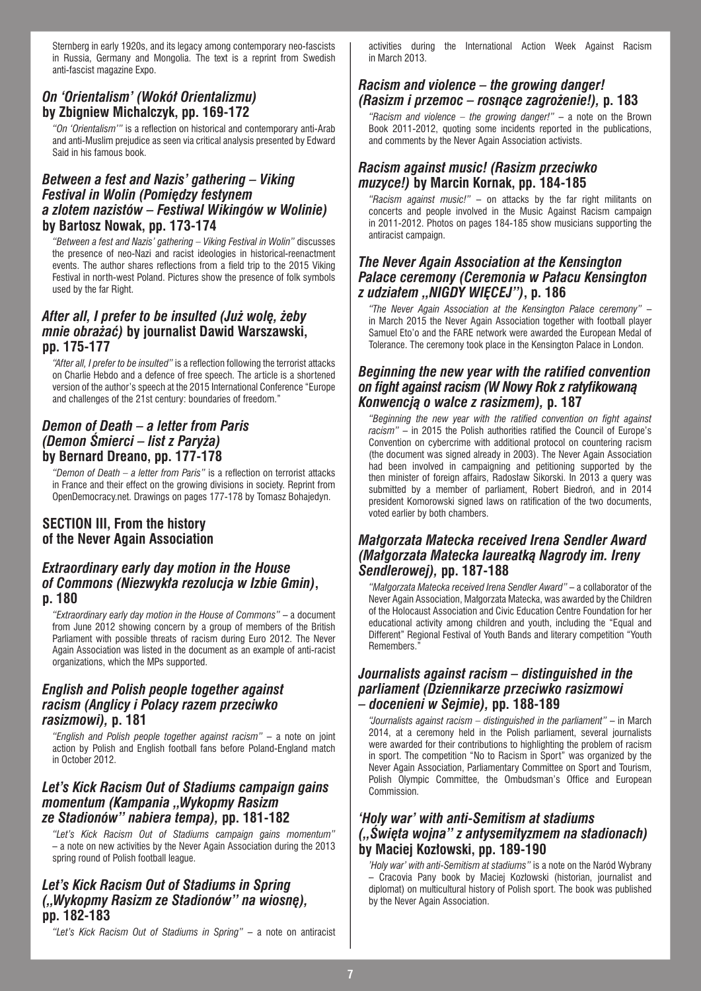Sternberg in early 1920s, and its legacy among contemporary neo-fascists in Russia, Germany and Mongolia. The text is a reprint from Swedish anti-fascist magazine Expo.

# *On 'Orientalism' (Wokół Orientalizmu)* **by Zbigniew Michalczyk, pp. 169-172**

*"On 'Orientalism'"* is a reflection on historical and contemporary anti-Arab and anti-Muslim prejudice as seen via critical analysis presented by Edward Said in his famous book.

#### *Between a fest and Nazis' gathering – Viking Festival in Wolin (Pomiędzy festynem a zlotem nazistów – Festiwal Wikingów w Wolinie)*  **by Bartosz Nowak, pp. 173-174**

*"Between a fest and Nazis' gathering – Viking Festival in Wolin"* discusses the presence of neo-Nazi and racist ideologies in historical-reenactment events. The author shares reflections from a field trip to the 2015 Viking Festival in north-west Poland. Pictures show the presence of folk symbols used by the far Right.

#### *After all, I prefer to be insulted (Już wolę, żeby mnie obrażać)* **by journalist Dawid Warszawski, pp. 175-177**

*"After all, I prefer to be insulted"* is a reflection following the terrorist attacks on Charlie Hebdo and a defence of free speech. The article is a shortened version of the author's speech at the 2015 International Conference "Europe and challenges of the 21st century: boundaries of freedom."

# *Demon of Death – a letter from Paris (Demon Śmierci – list z Paryża)* **by Bernard Dreano, pp. 177-178**

*"Demon of Death – a letter from Paris"* is a reflection on terrorist attacks in France and their effect on the growing divisions in society. Reprint from OpenDemocracy.net. Drawings on pages 177-178 by Tomasz Bohajedyn.

# **SECTION III, From the history of the Never Again Association**

#### *Extraordinary early day motion in the House of Commons (Niezwykła rezolucja w Izbie Gmin)***, p. 180**

*"Extraordinary early day motion in the House of Commons"* – a document from June 2012 showing concern by a group of members of the British Parliament with possible threats of racism during Euro 2012. The Never Again Association was listed in the document as an example of anti-racist organizations, which the MPs supported.

#### *English and Polish people together against racism (Anglicy i Polacy razem przeciwko rasizmowi),* **p. 181**

*"English and Polish people together against racism"* – a note on joint action by Polish and English football fans before Poland-England match in October 2012.

#### *Let's Kick Racism Out of Stadiums campaign gains momentum (Kampania "Wykopmy Rasizm ze Stadionów" nabiera tempa),* **pp. 181-182**

*"Let's Kick Racism Out of Stadiums campaign gains momentum"*  – a note on new activities by the Never Again Association during the 2013 spring round of Polish football league.

# *Let's Kick Racism Out of Stadiums in Spring ("Wykopmy Rasizm ze Stadionów" na wiosnę),*  **pp. 182-183**

*"Let's Kick Racism Out of Stadiums in Spring"* – a note on antiracist

activities during the International Action Week Against Racism in March 2013.

# *Racism and violence – the growing danger! (Rasizm i przemoc – rosnące zagrożenie!),* **p. 183**

*"Racism and violence – the growing danger!"* – a note on the Brown Book 2011-2012, quoting some incidents reported in the publications, and comments by the Never Again Association activists.

# *Racism against music! (Rasizm przeciwko muzyce!)* **by Marcin Kornak, pp. 184-185**

*"Racism against music!"* – on attacks by the far right militants on concerts and people involved in the Music Against Racism campaign in 2011-2012. Photos on pages 184-185 show musicians supporting the antiracist campaign.

#### *The Never Again Association at the Kensington Palace ceremony (Ceremonia w Pałacu Kensington z udziałem "NIGDY WIĘCEJ")***, p. 186**

*"The Never Again Association at the Kensington Palace ceremony"* – in March 2015 the Never Again Association together with football player Samuel Eto'o and the FARE network were awarded the European Medal of Tolerance. The ceremony took place in the Kensington Palace in London.

#### *Beginning the new year with the ratified convention on fight against racism (W Nowy Rok z ratyfikowaną Konwencją o walce z rasizmem),* **p. 187**

*"Beginning the new year with the ratified convention on fight against racism"* – in 2015 the Polish authorities ratified the Council of Europe's Convention on cybercrime with additional protocol on countering racism (the document was signed already in 2003). The Never Again Association had been involved in campaigning and petitioning supported by the then minister of foreign affairs, Radosław Sikorski. In 2013 a query was submitted by a member of parliament, Robert Biedroń, and in 2014 president Komorowski signed laws on ratification of the two documents, voted earlier by both chambers.

#### *Małgorzata Matecka received Irena Sendler Award (Małgorzata Matecka laureatką Nagrody im. Ireny Sendlerowej),* **pp. 187-188**

*"Małgorzata Matecka received Irena Sendler Award"* – a collaborator of the Never Again Association, Małgorzata Matecka, was awarded by the Children of the Holocaust Association and Civic Education Centre Foundation for her educational activity among children and youth, including the "Equal and Different" Regional Festival of Youth Bands and literary competition "Youth Remembers."

#### *Journalists against racism – distinguished in the parliament (Dziennikarze przeciwko rasizmowi – docenieni w Sejmie),* **pp. 188-189**

*"Journalists against racism – distinguished in the parliament"* – in March 2014, at a ceremony held in the Polish parliament, several journalists were awarded for their contributions to highlighting the problem of racism in sport. The competition "No to Racism in Sport" was organized by the Never Again Association, Parliamentary Committee on Sport and Tourism, Polish Olympic Committee, the Ombudsman's Office and European **Commission** 

#### *'Holy war' with anti-Semitism at stadiums ("Święta wojna" z antysemityzmem na stadionach)*  **by Maciej Kozłowski, pp. 189-190**

*'Holy war' with anti-Semitism at stadiums"* is a note on the Naród Wybrany – Cracovia Pany book by Maciej Kozłowski (historian, journalist and diplomat) on multicultural history of Polish sport. The book was published by the Never Again Association.